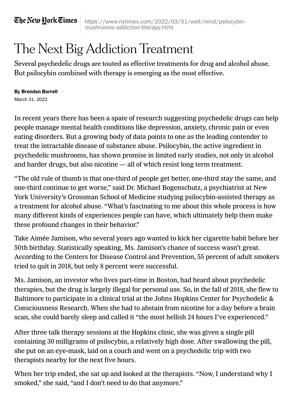## The New Hork Times

## The Next Big Addiction Treatment

Several psychedelic drugs are touted as effective treatments for drug and alcohol abuse. But psilocybin combined with therapy is emerging as the most effective.

By Brendan Borrell

March 31, 2022

In recent years there has been a spate of research suggesting [psychedelic](https://www.nytimes.com/2022/01/05/well/psychedelic-drugs-mental-health-therapy.html) drugs can help people manage mental health conditions like depression, anxiety, chronic pain or even eating disorders. But a growing body of data points to one as the leading contender to treat the intractable disease of substance abuse. Psilocybin, the active ingredient in psychedelic mushrooms, has shown promise in limited early studies, not only in alcohol and harder drugs, but also nicotine — all of which resist long term treatment.

"The old rule of thumb is that one-third of people get better, one-third stay the same, and one-third continue to get worse," said Dr. Michael Bogenschutz, a psychiatrist at New York University's Grossman School of Medicine studying psilocybin-assisted therapy as a treatment for alcohol abuse. "What's fascinating to me about this whole process is how many different kinds of experiences people can have, which ultimately help them make these profound changes in their behavior."

Take Aimée Jamison, who several years ago wanted to kick her cigarette habit before her 50th birthday. Statistically speaking, Ms. Jamison's chance of success wasn't great. According to the Centers for Disease Control and [Prevention](https://www.cdc.gov/tobacco/data_statistics/fact_sheets/cessation/smoking-cessation-fast-facts/index.html), 55 percent of adult smokers tried to quit in 2018, but only 8 percent were successful.

Ms. Jamison, an investor who lives part-time in Boston, had heard about psychedelic therapies, but the drug is largely illegal for personal use. So, in the fall of 2018, she flew to Baltimore to participate in a clinical trial at the Johns Hopkins Center for Psychedelic & Consciousness Research. When she had to abstain from nicotine for a day before a brain scan, she could barely sleep and called it "the most hellish 24 hours I've experienced."

After three talk therapy sessions at the Hopkins clinic, she was given a single pill containing 30 milligrams of psilocybin, a relatively high dose. After swallowing the pill, she put on an eye-mask, laid on a couch and went on a psychedelic trip with two therapists nearby for the next five hours.

When her trip ended, she sat up and looked at the therapists. "Now, I understand why I smoked," she said, "and I don't need to do that anymore."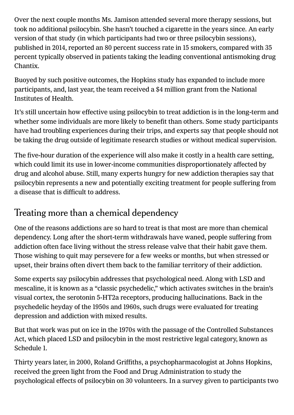Over the next couple months Ms. Jamison attended several more therapy sessions, but took no additional psilocybin. She hasn't touched a cigarette in the years since. An early version of that study (in which [participants](https://www.ncbi.nlm.nih.gov/pmc/articles/PMC4286320/) had two or three psilocybin sessions), published in 2014, reported an 80 percent success rate in 15 smokers, compared with 35 percent typically observed in patients taking the leading conventional antismoking drug Chantix.

Buoyed by such positive outcomes, the Hopkins study has expanded to include more participants, and, last year, the team received a \$4 million grant from the National Institutes of Health.

It's still uncertain how effective using psilocybin to treat addiction is in the long-term and whether some individuals are more likely to benefit than others. Some study participants have had troubling experiences during their trips, and experts say that people should not be taking the drug outside of legitimate research studies or without medical supervision.

The five-hour duration of the experience will also make it costly in a health care setting, which could limit its use in lower-income communities disproportionately affected by drug and alcohol abuse. Still, many experts hungry for new addiction therapies say that psilocybin represents a new and potentially exciting treatment for people suffering from a disease that is difficult to address.

## Treating more than a chemical dependency

One of the reasons addictions are so hard to treat is that most are more than chemical dependency. Long after the short-term withdrawals have waned, people suffering from addiction often face living without the stress release valve that their habit gave them. Those wishing to quit may persevere for a few weeks or months, but when stressed or upset, their brains often divert them back to the familiar territory of their addiction.

Some experts say psilocybin addresses that psychological need. Along with LSD and mescaline, it is known as a "classic psychedelic," which activates switches in the brain's visual cortex, the [serotonin](https://pubmed.ncbi.nlm.nih.gov/23785166/) 5-HT2a receptors, producing hallucinations. Back in the psychedelic heyday of the 1950s and 1960s, such drugs were evaluated for treating depression and addiction with mixed [results.](https://www.ntnu.edu/documents/139226/8932977/JOP439253.pdf)

But that work was put on ice in the 1970s with the passage of the Controlled Substances Act, which placed LSD and psilocybin in the most restrictive legal category, known as Schedule 1.

Thirty years later, in 2000, Roland Griffiths, a psychopharmacologist at Johns Hopkins, received the green light from the Food and Drug Administration to study the psychological effects of psilocybin on 30 volunteers. In a survey given to participants two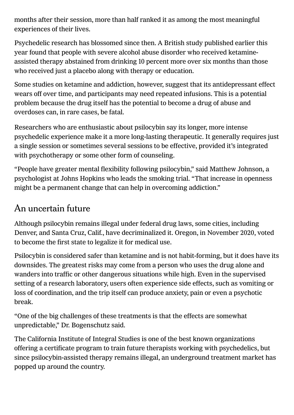months after their session, [more](https://www.hopkinsmedicine.org/press_releases/2006/griffithspsilocybin.pdf) than half ranked it as among the most meaningful experiences of their lives.

Psychedelic research has blossomed since then. A British study [published](https://ajp.psychiatryonline.org/doi/10.1176/appi.ajp.2021.21030277) earlier this year found that people with severe alcohol abuse disorder who received ketamineassisted therapy abstained from drinking 10 percent more over six months than those who received just a placebo along with therapy or education.

Some studies on ketamine and addiction, however, suggest that its antidepressant effect [wears](https://www.ncbi.nlm.nih.gov/pmc/articles/PMC6785189/) off over time, and participants may need repeated infusions. This is a potential problem because the drug [itself](https://www.nytimes.com/2021/11/04/well/ketamine-therapy-depression.html) has the potential to become a drug of abuse and overdoses can, in rare cases, be [fatal](https://watermark.silverchair.com/28-1-71.pdf?token=AQECAHi208BE49Ooan9kkhW_Ercy7Dm3ZL_9Cf3qfKAc485ysgAAArswggK3BgkqhkiG9w0BBwagggKoMIICpAIBADCCAp0GCSqGSIb3DQEHATAeBglghkgBZQMEAS4wEQQMbduUPaWe9iK0ka4CAgEQgIICbh9of1ZdjUimCwLsHx1KxTvIkZyXv1aGc3j6ZenGQuFz0nq9MCl9uIR4Ki1mQ33lLVfdPa1oG4aJCb8VBoRJUU1RLF9tGV8tBzHmnk9k--hZEqgVMGDBoerAAt06CsVKYOl98ljzSOJ021gr72cBcBAJEjZE-So1OdxMxlGekNw0prEMLP-W5s8QlIOGqf6TPTrU1m53GKgsPeQLfr6OIqSWNUMSZlCRIhEiZJS2TYL5-FQUS4VhgjV7OsC4l7DpUbvQr-2V4HZ3e-EktninjdVUWSsY5zrgtU8qRWCBb36d1ZoRX6sjHHsIn14ILHux48IS8wsUqcvDlQTYupHB1X4BI4gcqXW4ahO1u9n-PByRC56oB670ewY-HA3i-qPIC3XREQ8UHto8bnBW-Xdx_qwFVhx-IpTKq4_6smHmU4Id5729yfrqH8EMzIdFGHLUeKNN9W4GYsG1n5dXusDHwrflAgk17f78StxNC5YHbqhbqa4dkP0QvHgiIInVKy0ohb61R33R21HkdqE9ZeRYcCAzl4WVLPAALlAyovL8s3ghb9Gn9otjuaNEiEghr2MHXpmFGNE9-4loEv6e77drzuRIVnSVlC5sjhIx_GHtUynb21-ax34NUXyppkpxI1VbCN1S4yQ0lxYMATxbhZigygi4VYQ_i1e4cn2XNwqbzgeQAsrEUT2MEuV0vjPtmbjaCl1a8yPAeNSB8miB9IiAvTocFHmvPEWWXIvIb4bvGt2j9sXo349jOJwHN69fPeUEu6V7TA619zBOjnTjhSrX8lbpm-C7DOxrY9NeWRzREeQclSAWlEGlFDqcQFNvw9o).

Researchers who are enthusiastic about psilocybin say its longer, more intense psychedelic experience make it a more long-lasting therapeutic. It generally requires just a single session or sometimes several sessions to be effective, provided it's integrated with psychotherapy or some other form of counseling.

"People have greater mental flexibility following psilocybin," said Matthew Johnson, a psychologist at Johns Hopkins who leads the smoking trial. "That increase in openness might be a permanent change that can help in overcoming addiction."

## An uncertain future

Although psilocybin remains illegal under federal drug laws, some cities, including Denver, and Santa Cruz, Calif., have decriminalized it. Oregon, in November 2020, voted to become the first state to legalize it for medical use.

Psilocybin is considered safer than ketamine and is not [habit-forming,](https://journals.lww.com/behaviouralpharm/Abstract/2004/03000/Transient_reinforcing_effects_of.7.aspx) but it does have its downsides. The [greatest](https://www.ncbi.nlm.nih.gov/pmc/articles/PMC5551678/) risks may come from a person who uses the drug alone and wanders into traffic or other dangerous situations while high. Even in the supervised setting of a research laboratory, users often experience side effects, such as vomiting or loss of coordination, and the trip itself can [produce](https://www.ncbi.nlm.nih.gov/pmc/articles/PMC7034876/) anxiety, pain or even a psychotic break.

"One of the big challenges of these treatments is that the effects are somewhat unpredictable," Dr. Bogenschutz said.

The California Institute of Integral Studies is one of the best known organizations offering a [certificate](https://www.ciis.edu/research-centers/center-for-psychedelic-therapies-and-research/about-the-certificate-in-psychedelic-assisted-therapies-and-research) program to train future therapists working with psychedelics, but since psilocybin-assisted therapy remains illegal, an underground treatment market has popped up around the country.